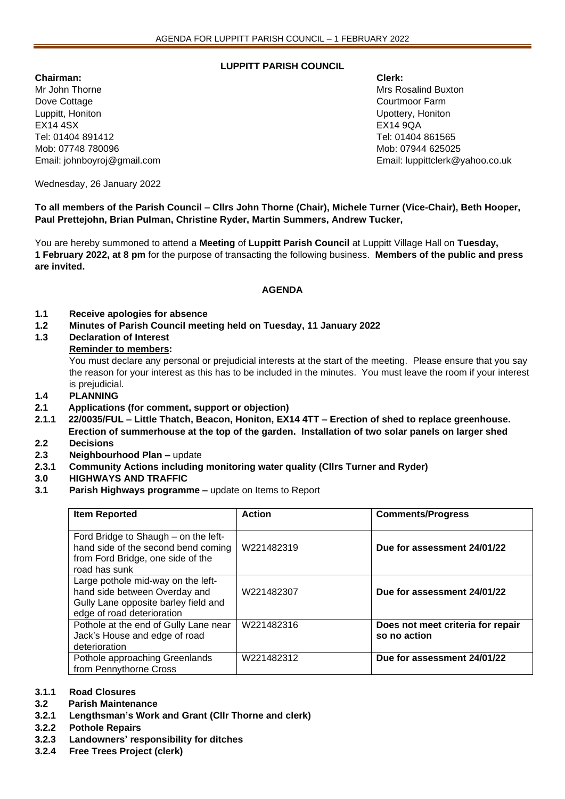# **LUPPITT PARISH COUNCIL**

**Chairman: Clerk:** Mr John Thorne Mrs Rosalind Buxton Mrs Rosalind Buxton Mrs Rosalind Buxton Dove Cottage Courtmoor Farm Courtmoor Farm Courtmoor Farm Courtmoor Farm Courtmoor Farm Courtmoor Farm Courtmoor Farm Courtmoor Farm Courtmoor Farm Courtmoor Farm Courtmoor Farm Courtmoor Farm Courtmoor Farm Courtmoor Farm Luppitt, Honiton Upottery, Honiton EX14 4SX EX14 9QA Tel: 01404 891412 Tel: 01404 861565 Mob: 07748 780096 Mob: 07944 625025

Email: johnboyroj@gmail.com Email: luppittclerk@yahoo.co.uk

Wednesday, 26 January 2022

**To all members of the Parish Council – Cllrs John Thorne (Chair), Michele Turner (Vice-Chair), Beth Hooper, Paul Prettejohn, Brian Pulman, Christine Ryder, Martin Summers, Andrew Tucker,** 

You are hereby summoned to attend a **Meeting** of **Luppitt Parish Council** at Luppitt Village Hall on **Tuesday, 1 February 2022, at 8 pm** for the purpose of transacting the following business. **Members of the public and press are invited.**

### **AGENDA**

- **1.1 Receive apologies for absence**
- **1.2 Minutes of Parish Council meeting held on Tuesday, 11 January 2022**
- **1.3 Declaration of Interest**

### **Reminder to members:**

You must declare any personal or prejudicial interests at the start of the meeting. Please ensure that you say the reason for your interest as this has to be included in the minutes. You must leave the room if your interest is prejudicial.

- **1.4 PLANNING**
- **2.1 Applications (for comment, support or objection)**
- **2.1.1 22/0035/FUL – Little Thatch, Beacon, Honiton, EX14 4TT – Erection of shed to replace greenhouse. Erection of summerhouse at the top of the garden. Installation of two solar panels on larger shed**
- **2.2 Decisions**
- **2.3 Neighbourhood Plan –** update
- **2.3.1 Community Actions including monitoring water quality (Cllrs Turner and Ryder)**
- **3.0 HIGHWAYS AND TRAFFIC**
- **3.1 Parish Highways programme –** update on Items to Report

| <b>Item Reported</b>                                                                                                                      | <b>Action</b> | <b>Comments/Progress</b>                          |
|-------------------------------------------------------------------------------------------------------------------------------------------|---------------|---------------------------------------------------|
| Ford Bridge to Shaugh - on the left-<br>hand side of the second bend coming<br>from Ford Bridge, one side of the<br>road has sunk         | W221482319    | Due for assessment 24/01/22                       |
| Large pothole mid-way on the left-<br>hand side between Overday and<br>Gully Lane opposite barley field and<br>edge of road deterioration | W221482307    | Due for assessment 24/01/22                       |
| Pothole at the end of Gully Lane near<br>Jack's House and edge of road<br>deterioration                                                   | W221482316    | Does not meet criteria for repair<br>so no action |
| Pothole approaching Greenlands<br>from Pennythorne Cross                                                                                  | W221482312    | Due for assessment 24/01/22                       |

# **3.1.1 Road Closures**

# **3.2 Parish Maintenance**

- **3.2.1 Lengthsman's Work and Grant (Cllr Thorne and clerk)**
- **3.2.2 Pothole Repairs**
- **3.2.3 Landowners' responsibility for ditches**
- **3.2.4 Free Trees Project (clerk)**